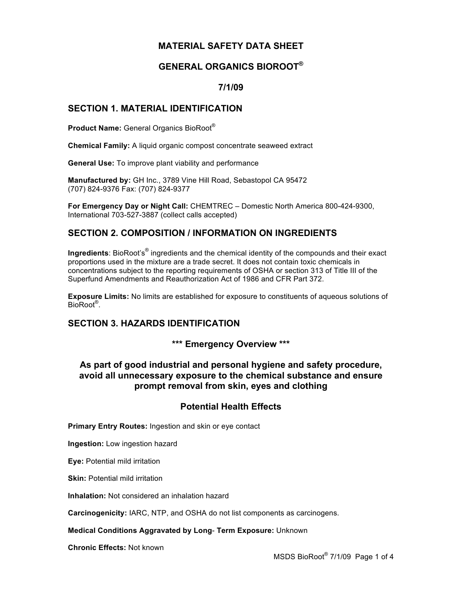# **MATERIAL SAFETY DATA SHEET**

# **GENERAL ORGANICS BIOROOT®**

## **7/1/09**

## **SECTION 1. MATERIAL IDENTIFICATION**

**Product Name:** General Organics BioRoot®

**Chemical Family:** A liquid organic compost concentrate seaweed extract

**General Use:** To improve plant viability and performance

**Manufactured by:** GH Inc., 3789 Vine Hill Road, Sebastopol CA 95472 (707) 824-9376 Fax: (707) 824-9377

**For Emergency Day or Night Call:** CHEMTREC – Domestic North America 800-424-9300, International 703-527-3887 (collect calls accepted)

# **SECTION 2. COMPOSITION / INFORMATION ON INGREDIENTS**

Ingredients: BioRoot's<sup>®</sup> ingredients and the chemical identity of the compounds and their exact proportions used in the mixture are a trade secret. It does not contain toxic chemicals in concentrations subject to the reporting requirements of OSHA or section 313 of Title III of the Superfund Amendments and Reauthorization Act of 1986 and CFR Part 372.

**Exposure Limits:** No limits are established for exposure to constituents of aqueous solutions of BioRoot® .

## **SECTION 3. HAZARDS IDENTIFICATION**

## **\*\*\* Emergency Overview \*\*\***

## **As part of good industrial and personal hygiene and safety procedure, avoid all unnecessary exposure to the chemical substance and ensure prompt removal from skin, eyes and clothing**

# **Potential Health Effects**

**Primary Entry Routes:** Ingestion and skin or eye contact

**Ingestion:** Low ingestion hazard

**Eye:** Potential mild irritation

**Skin: Potential mild irritation** 

**Inhalation:** Not considered an inhalation hazard

**Carcinogenicity:** IARC, NTP, and OSHA do not list components as carcinogens.

### **Medical Conditions Aggravated by Long**- **Term Exposure:** Unknown

**Chronic Effects:** Not known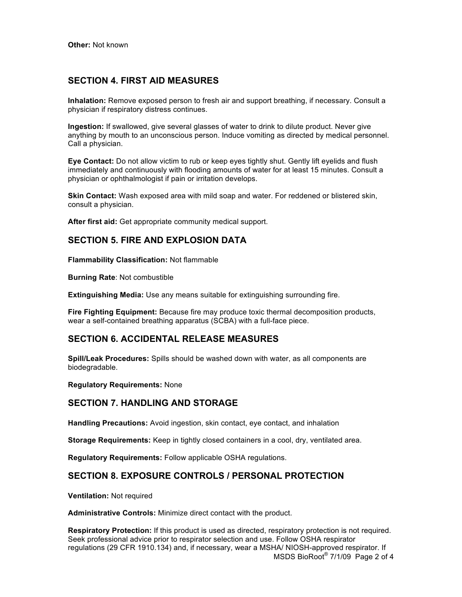## **SECTION 4. FIRST AID MEASURES**

**Inhalation:** Remove exposed person to fresh air and support breathing, if necessary. Consult a physician if respiratory distress continues.

**Ingestion:** If swallowed, give several glasses of water to drink to dilute product. Never give anything by mouth to an unconscious person. Induce vomiting as directed by medical personnel. Call a physician.

**Eye Contact:** Do not allow victim to rub or keep eyes tightly shut. Gently lift eyelids and flush immediately and continuously with flooding amounts of water for at least 15 minutes. Consult a physician or ophthalmologist if pain or irritation develops.

**Skin Contact:** Wash exposed area with mild soap and water. For reddened or blistered skin, consult a physician.

**After first aid:** Get appropriate community medical support.

### **SECTION 5. FIRE AND EXPLOSION DATA**

**Flammability Classification:** Not flammable

**Burning Rate**: Not combustible

**Extinguishing Media:** Use any means suitable for extinguishing surrounding fire.

**Fire Fighting Equipment:** Because fire may produce toxic thermal decomposition products, wear a self-contained breathing apparatus (SCBA) with a full-face piece.

### **SECTION 6. ACCIDENTAL RELEASE MEASURES**

**Spill/Leak Procedures:** Spills should be washed down with water, as all components are biodegradable.

**Regulatory Requirements:** None

### **SECTION 7. HANDLING AND STORAGE**

**Handling Precautions:** Avoid ingestion, skin contact, eye contact, and inhalation

**Storage Requirements:** Keep in tightly closed containers in a cool, dry, ventilated area.

**Regulatory Requirements:** Follow applicable OSHA regulations.

### **SECTION 8. EXPOSURE CONTROLS / PERSONAL PROTECTION**

**Ventilation:** Not required

**Administrative Controls:** Minimize direct contact with the product.

MSDS BioRoot® 7/1/09 Page 2 of 4 **Respiratory Protection:** If this product is used as directed, respiratory protection is not required. Seek professional advice prior to respirator selection and use. Follow OSHA respirator regulations (29 CFR 1910.134) and, if necessary, wear a MSHA/ NIOSH-approved respirator. If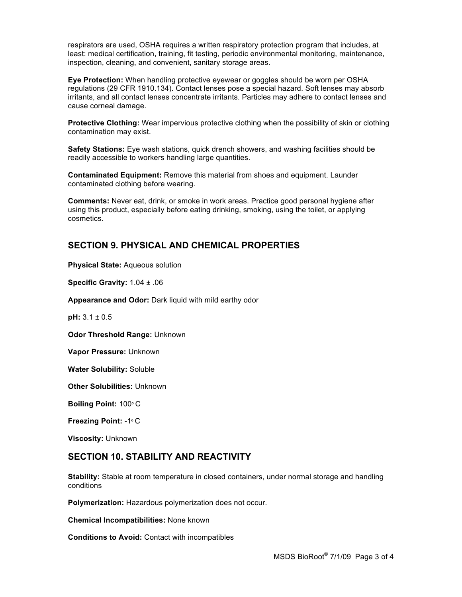respirators are used, OSHA requires a written respiratory protection program that includes, at least: medical certification, training, fit testing, periodic environmental monitoring, maintenance, inspection, cleaning, and convenient, sanitary storage areas.

**Eye Protection:** When handling protective eyewear or goggles should be worn per OSHA regulations (29 CFR 1910.134). Contact lenses pose a special hazard. Soft lenses may absorb irritants, and all contact lenses concentrate irritants. Particles may adhere to contact lenses and cause corneal damage.

**Protective Clothing:** Wear impervious protective clothing when the possibility of skin or clothing contamination may exist.

**Safety Stations:** Eye wash stations, quick drench showers, and washing facilities should be readily accessible to workers handling large quantities.

**Contaminated Equipment:** Remove this material from shoes and equipment. Launder contaminated clothing before wearing.

**Comments:** Never eat, drink, or smoke in work areas. Practice good personal hygiene after using this product, especially before eating drinking, smoking, using the toilet, or applying cosmetics.

# **SECTION 9. PHYSICAL AND CHEMICAL PROPERTIES**

**Physical State:** Aqueous solution

**Specific Gravity:** 1.04 ± .06

**Appearance and Odor:** Dark liquid with mild earthy odor

**pH:** 3.1 ± 0.5

**Odor Threshold Range:** Unknown

**Vapor Pressure:** Unknown

**Water Solubility:** Soluble

**Other Solubilities:** Unknown

**Boiling Point:** 100º C

**Freezing Point:** -1º C

**Viscosity:** Unknown

## **SECTION 10. STABILITY AND REACTIVITY**

**Stability:** Stable at room temperature in closed containers, under normal storage and handling conditions

**Polymerization:** Hazardous polymerization does not occur.

**Chemical Incompatibilities:** None known

**Conditions to Avoid:** Contact with incompatibles